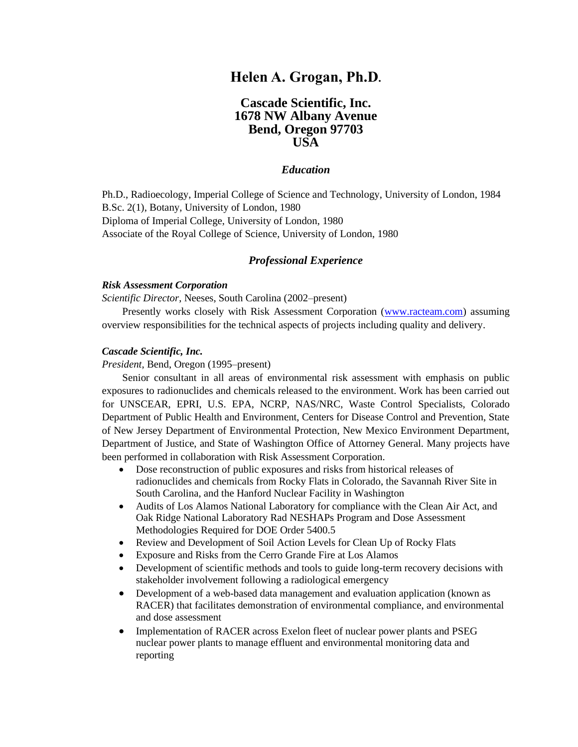# **Helen A. Grogan, Ph.D.**

# **Cascade Scientific, Inc. 1678 NW Albany Avenue Bend, Oregon 97703 USA**

#### *Education*

Ph.D., Radioecology, Imperial College of Science and Technology, University of London, 1984 B.Sc. 2(1), Botany, University of London, 1980 Diploma of Imperial College, University of London, 1980 Associate of the Royal College of Science, University of London, 1980

### *Professional Experience*

#### *Risk Assessment Corporation*

*Scientific Director*, Neeses, South Carolina (2002–present)

Presently works closely with Risk Assessment Corporation [\(www.racteam.com\)](http://www.racteam.com/) assuming overview responsibilities for the technical aspects of projects including quality and delivery.

#### *Cascade Scientific, Inc.*

*President*, Bend, Oregon (1995–present)

Senior consultant in all areas of environmental risk assessment with emphasis on public exposures to radionuclides and chemicals released to the environment. Work has been carried out for UNSCEAR, EPRI, U.S. EPA, NCRP, NAS/NRC, Waste Control Specialists, Colorado Department of Public Health and Environment, Centers for Disease Control and Prevention, State of New Jersey Department of Environmental Protection, New Mexico Environment Department, Department of Justice, and State of Washington Office of Attorney General. Many projects have been performed in collaboration with Risk Assessment Corporation.

- Dose reconstruction of public exposures and risks from historical releases of radionuclides and chemicals from Rocky Flats in Colorado, the Savannah River Site in South Carolina, and the Hanford Nuclear Facility in Washington
- Audits of Los Alamos National Laboratory for compliance with the Clean Air Act, and Oak Ridge National Laboratory Rad NESHAPs Program and Dose Assessment Methodologies Required for DOE Order 5400.5
- Review and Development of Soil Action Levels for Clean Up of Rocky Flats
- Exposure and Risks from the Cerro Grande Fire at Los Alamos
- Development of scientific methods and tools to guide long-term recovery decisions with stakeholder involvement following a radiological emergency
- Development of a web-based data management and evaluation application (known as RACER) that facilitates demonstration of environmental compliance, and environmental and dose assessment
- Implementation of RACER across Exelon fleet of nuclear power plants and PSEG nuclear power plants to manage effluent and environmental monitoring data and reporting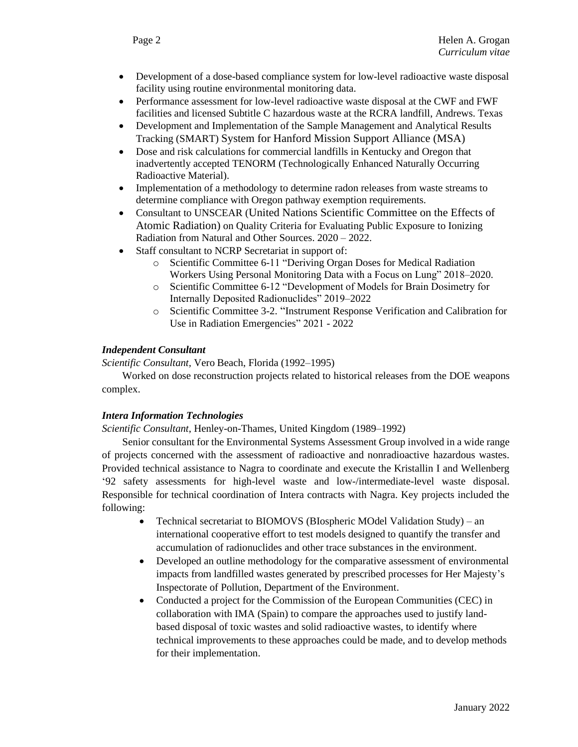- Development of a dose-based compliance system for low-level radioactive waste disposal facility using routine environmental monitoring data.
- Performance assessment for low-level radioactive waste disposal at the CWF and FWF facilities and licensed Subtitle C hazardous waste at the RCRA landfill, Andrews. Texas
- Development and Implementation of the Sample Management and Analytical Results Tracking (SMART) System for Hanford Mission Support Alliance (MSA)
- Dose and risk calculations for commercial landfills in Kentucky and Oregon that inadvertently accepted TENORM (Technologically Enhanced Naturally Occurring Radioactive Material).
- Implementation of a methodology to determine radon releases from waste streams to determine compliance with Oregon pathway exemption requirements.
- Consultant to UNSCEAR (United Nations Scientific Committee on the Effects of Atomic Radiation) on Quality Criteria for Evaluating Public Exposure to Ionizing Radiation from Natural and Other Sources. 2020 – 2022.
- Staff consultant to NCRP Secretariat in support of:
	- o Scientific Committee 6-11 "Deriving Organ Doses for Medical Radiation Workers Using Personal Monitoring Data with a Focus on Lung" 2018–2020.
	- o Scientific Committee 6-12 "Development of Models for Brain Dosimetry for Internally Deposited Radionuclides" 2019–2022
	- o Scientific Committee 3-2. "Instrument Response Verification and Calibration for Use in Radiation Emergencies" 2021 - 2022

### *Independent Consultant*

*Scientific Consultant,* Vero Beach, Florida (1992–1995)

Worked on dose reconstruction projects related to historical releases from the DOE weapons complex.

### *Intera Information Technologies*

*Scientific Consultant*, Henley-on-Thames, United Kingdom (1989–1992)

Senior consultant for the Environmental Systems Assessment Group involved in a wide range of projects concerned with the assessment of radioactive and nonradioactive hazardous wastes. Provided technical assistance to Nagra to coordinate and execute the Kristallin I and Wellenberg '92 safety assessments for high-level waste and low-/intermediate-level waste disposal. Responsible for technical coordination of Intera contracts with Nagra. Key projects included the following:

- Technical secretariat to BIOMOVS (BIospheric MOdel Validation Study) an international cooperative effort to test models designed to quantify the transfer and accumulation of radionuclides and other trace substances in the environment.
- Developed an outline methodology for the comparative assessment of environmental impacts from landfilled wastes generated by prescribed processes for Her Majesty's Inspectorate of Pollution, Department of the Environment.
- Conducted a project for the Commission of the European Communities (CEC) in collaboration with IMA (Spain) to compare the approaches used to justify landbased disposal of toxic wastes and solid radioactive wastes, to identify where technical improvements to these approaches could be made, and to develop methods for their implementation.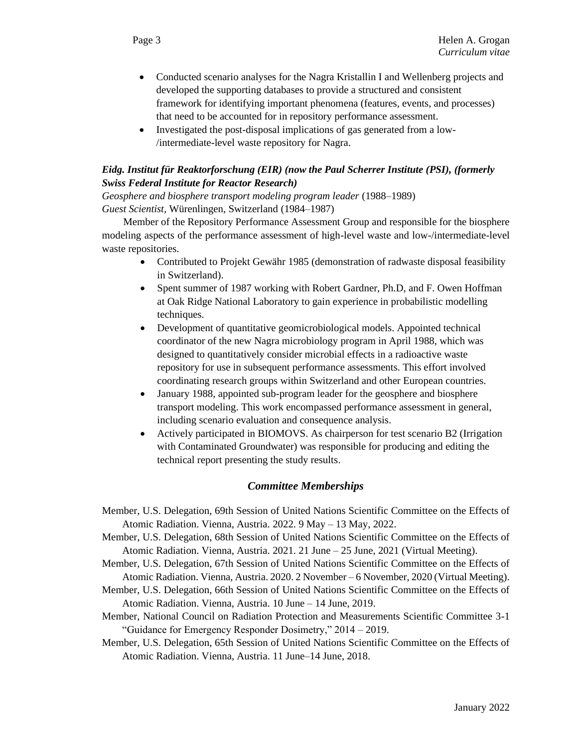- Conducted scenario analyses for the Nagra Kristallin I and Wellenberg projects and developed the supporting databases to provide a structured and consistent framework for identifying important phenomena (features, events, and processes) that need to be accounted for in repository performance assessment.
- Investigated the post-disposal implications of gas generated from a low- /intermediate-level waste repository for Nagra.

## *Eidg. Institut für Reaktorforschung (EIR) (now the Paul Scherrer Institute (PSI), (formerly Swiss Federal Institute for Reactor Research)*

*Geosphere and biosphere transport modeling program leader* (1988–1989) *Guest Scientist,* Würenlingen, Switzerland (1984–1987)

Member of the Repository Performance Assessment Group and responsible for the biosphere modeling aspects of the performance assessment of high-level waste and low-/intermediate-level waste repositories.

- Contributed to Projekt Gewähr 1985 (demonstration of radwaste disposal feasibility in Switzerland).
- Spent summer of 1987 working with Robert Gardner, Ph.D, and F. Owen Hoffman at Oak Ridge National Laboratory to gain experience in probabilistic modelling techniques.
- Development of quantitative geomicrobiological models. Appointed technical coordinator of the new Nagra microbiology program in April 1988, which was designed to quantitatively consider microbial effects in a radioactive waste repository for use in subsequent performance assessments. This effort involved coordinating research groups within Switzerland and other European countries.
- January 1988, appointed sub-program leader for the geosphere and biosphere transport modeling. This work encompassed performance assessment in general, including scenario evaluation and consequence analysis.
- Actively participated in BIOMOVS. As chairperson for test scenario B2 (Irrigation with Contaminated Groundwater) was responsible for producing and editing the technical report presenting the study results.

## *Committee Memberships*

- Member, U.S. Delegation, 69th Session of United Nations Scientific Committee on the Effects of Atomic Radiation. Vienna, Austria. 2022. 9 May – 13 May, 2022.
- Member, U.S. Delegation, 68th Session of United Nations Scientific Committee on the Effects of Atomic Radiation. Vienna, Austria. 2021. 21 June – 25 June, 2021 (Virtual Meeting).
- Member, U.S. Delegation, 67th Session of United Nations Scientific Committee on the Effects of Atomic Radiation. Vienna, Austria. 2020. 2 November – 6 November, 2020 (Virtual Meeting).
- Member, U.S. Delegation, 66th Session of United Nations Scientific Committee on the Effects of Atomic Radiation. Vienna, Austria. 10 June – 14 June, 2019.
- Member, National Council on Radiation Protection and Measurements Scientific Committee 3-1 "Guidance for Emergency Responder Dosimetry," 2014 – 2019.
- Member, U.S. Delegation, 65th Session of United Nations Scientific Committee on the Effects of Atomic Radiation. Vienna, Austria. 11 June–14 June, 2018.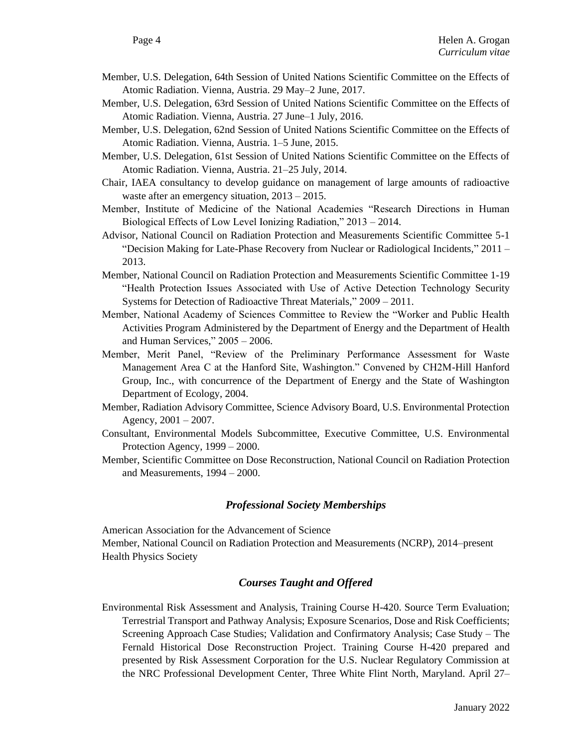- Member, U.S. Delegation, 64th Session of United Nations Scientific Committee on the Effects of Atomic Radiation. Vienna, Austria. 29 May–2 June, 2017.
- Member, U.S. Delegation, 63rd Session of United Nations Scientific Committee on the Effects of Atomic Radiation. Vienna, Austria. 27 June–1 July, 2016.
- Member, U.S. Delegation, 62nd Session of United Nations Scientific Committee on the Effects of Atomic Radiation. Vienna, Austria. 1–5 June, 2015.
- Member, U.S. Delegation, 61st Session of United Nations Scientific Committee on the Effects of Atomic Radiation. Vienna, Austria. 21–25 July, 2014.
- Chair, IAEA consultancy to develop guidance on management of large amounts of radioactive waste after an emergency situation, 2013 – 2015.
- Member, Institute of Medicine of the National Academies "Research Directions in Human Biological Effects of Low Level Ionizing Radiation," 2013 – 2014.
- Advisor, National Council on Radiation Protection and Measurements Scientific Committee 5-1 "Decision Making for Late-Phase Recovery from Nuclear or Radiological Incidents," 2011 – 2013.
- Member, National Council on Radiation Protection and Measurements Scientific Committee 1-19 "Health Protection Issues Associated with Use of Active Detection Technology Security Systems for Detection of Radioactive Threat Materials," 2009 – 2011.
- Member, National Academy of Sciences Committee to Review the "Worker and Public Health Activities Program Administered by the Department of Energy and the Department of Health and Human Services," 2005 – 2006.
- Member, Merit Panel, "Review of the Preliminary Performance Assessment for Waste Management Area C at the Hanford Site, Washington." Convened by CH2M-Hill Hanford Group, Inc., with concurrence of the Department of Energy and the State of Washington Department of Ecology, 2004.
- Member, Radiation Advisory Committee, Science Advisory Board, U.S. Environmental Protection Agency,  $2001 - 2007$ .
- Consultant, Environmental Models Subcommittee, Executive Committee, U.S. Environmental Protection Agency, 1999 – 2000.
- Member, Scientific Committee on Dose Reconstruction, National Council on Radiation Protection and Measurements, 1994 – 2000.

## *Professional Society Memberships*

American Association for the Advancement of Science Member, National Council on Radiation Protection and Measurements (NCRP), 2014–present Health Physics Society

## *Courses Taught and Offered*

Environmental Risk Assessment and Analysis, Training Course H-420. Source Term Evaluation; Terrestrial Transport and Pathway Analysis; Exposure Scenarios, Dose and Risk Coefficients; Screening Approach Case Studies; Validation and Confirmatory Analysis; Case Study – The Fernald Historical Dose Reconstruction Project. Training Course H-420 prepared and presented by Risk Assessment Corporation for the U.S. Nuclear Regulatory Commission at the NRC Professional Development Center, Three White Flint North, Maryland. April 27–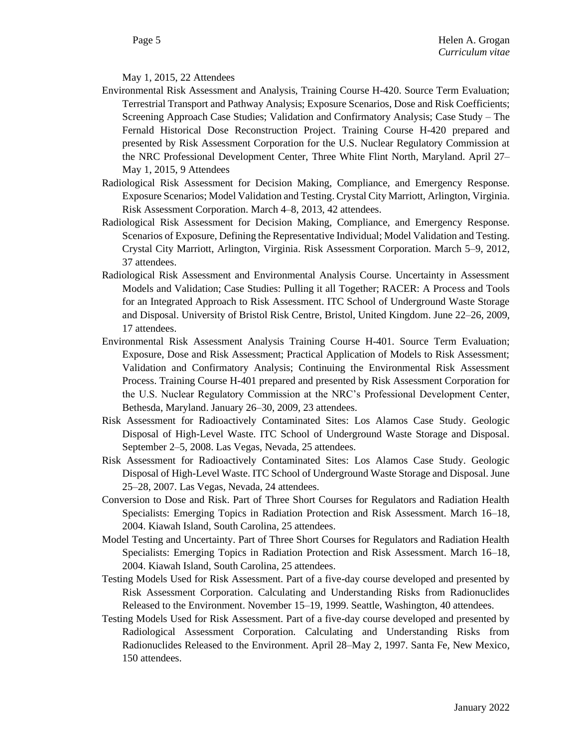### May 1, 2015, 22 Attendees

- Environmental Risk Assessment and Analysis, Training Course H-420. Source Term Evaluation; Terrestrial Transport and Pathway Analysis; Exposure Scenarios, Dose and Risk Coefficients; Screening Approach Case Studies; Validation and Confirmatory Analysis; Case Study – The Fernald Historical Dose Reconstruction Project. Training Course H-420 prepared and presented by Risk Assessment Corporation for the U.S. Nuclear Regulatory Commission at the NRC Professional Development Center, Three White Flint North, Maryland. April 27– May 1, 2015, 9 Attendees
- Radiological Risk Assessment for Decision Making, Compliance, and Emergency Response. Exposure Scenarios; Model Validation and Testing. Crystal City Marriott, Arlington, Virginia. Risk Assessment Corporation. March 4–8, 2013, 42 attendees.
- Radiological Risk Assessment for Decision Making, Compliance, and Emergency Response. Scenarios of Exposure, Defining the Representative Individual; Model Validation and Testing. Crystal City Marriott, Arlington, Virginia. Risk Assessment Corporation. March 5–9, 2012, 37 attendees.
- Radiological Risk Assessment and Environmental Analysis Course. Uncertainty in Assessment Models and Validation; Case Studies: Pulling it all Together; RACER: A Process and Tools for an Integrated Approach to Risk Assessment. ITC School of Underground Waste Storage and Disposal. University of Bristol Risk Centre, Bristol, United Kingdom. June 22–26, 2009, 17 attendees.
- Environmental Risk Assessment Analysis Training Course H-401. Source Term Evaluation; Exposure, Dose and Risk Assessment; Practical Application of Models to Risk Assessment; Validation and Confirmatory Analysis; Continuing the Environmental Risk Assessment Process. Training Course H-401 prepared and presented by Risk Assessment Corporation for the U.S. Nuclear Regulatory Commission at the NRC's Professional Development Center, Bethesda, Maryland. January 26–30, 2009, 23 attendees.
- Risk Assessment for Radioactively Contaminated Sites: Los Alamos Case Study. Geologic Disposal of High-Level Waste. ITC School of Underground Waste Storage and Disposal. September 2–5, 2008. Las Vegas, Nevada, 25 attendees.
- Risk Assessment for Radioactively Contaminated Sites: Los Alamos Case Study. Geologic Disposal of High-Level Waste. ITC School of Underground Waste Storage and Disposal. June 25–28, 2007. Las Vegas, Nevada, 24 attendees.
- Conversion to Dose and Risk. Part of Three Short Courses for Regulators and Radiation Health Specialists: Emerging Topics in Radiation Protection and Risk Assessment. March 16–18, 2004. Kiawah Island, South Carolina, 25 attendees.
- Model Testing and Uncertainty. Part of Three Short Courses for Regulators and Radiation Health Specialists: Emerging Topics in Radiation Protection and Risk Assessment. March 16–18, 2004. Kiawah Island, South Carolina, 25 attendees.
- Testing Models Used for Risk Assessment. Part of a five-day course developed and presented by Risk Assessment Corporation. Calculating and Understanding Risks from Radionuclides Released to the Environment. November 15–19, 1999. Seattle, Washington, 40 attendees.
- Testing Models Used for Risk Assessment. Part of a five-day course developed and presented by Radiological Assessment Corporation. Calculating and Understanding Risks from Radionuclides Released to the Environment. April 28–May 2, 1997. Santa Fe, New Mexico, 150 attendees.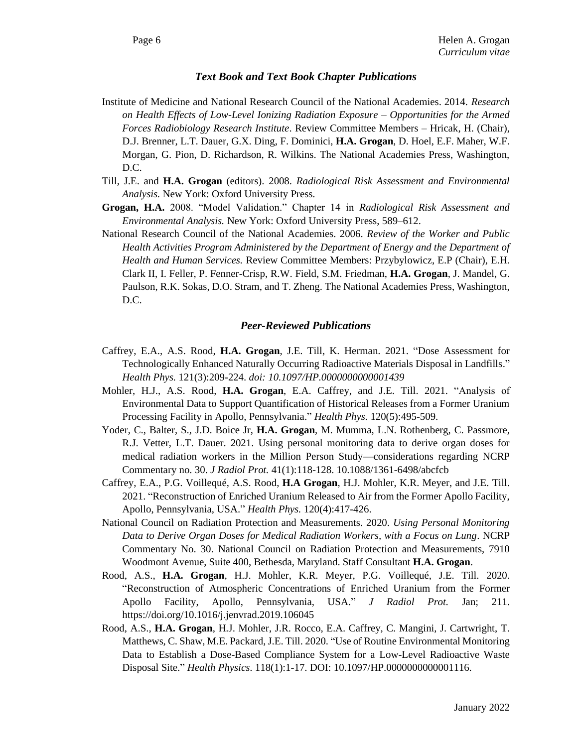#### *Text Book and Text Book Chapter Publications*

- Institute of Medicine and National Research Council of the National Academies. 2014. *Research on Health Effects of Low-Level Ionizing Radiation Exposure – Opportunities for the Armed Forces Radiobiology Research Institute*. Review Committee Members – Hricak, H. (Chair), D.J. Brenner, L.T. Dauer, G.X. Ding, F. Dominici, **H.A. Grogan**, D. Hoel, E.F. Maher, W.F. Morgan, G. Pion, D. Richardson, R. Wilkins. The National Academies Press, Washington, D.C.
- Till, J.E. and **H.A. Grogan** (editors). 2008. *Radiological Risk Assessment and Environmental Analysis.* New York: Oxford University Press.
- **Grogan, H.A.** 2008. "Model Validation." Chapter 14 in *Radiological Risk Assessment and Environmental Analysis.* New York: Oxford University Press, 589–612.
- National Research Council of the National Academies. 2006. *Review of the Worker and Public Health Activities Program Administered by the Department of Energy and the Department of Health and Human Services.* Review Committee Members: Przybylowicz, E.P (Chair), E.H. Clark II, I. Feller, P. Fenner-Crisp, R.W. Field, S.M. Friedman, **H.A. Grogan**, J. Mandel, G. Paulson, R.K. Sokas, D.O. Stram, and T. Zheng. The National Academies Press, Washington, D.C.

#### *Peer-Reviewed Publications*

- Caffrey, E.A., A.S. Rood, **H.A. Grogan**, J.E. Till, K. Herman. 2021. "Dose Assessment for Technologically Enhanced Naturally Occurring Radioactive Materials Disposal in Landfills." *Health Phys.* 121(3):209-224. *doi: 10.1097/HP.0000000000001439*
- Mohler, H.J., A.S. Rood, **H.A. Grogan**, E.A. Caffrey, and J.E. Till. 2021. "Analysis of Environmental Data to Support Quantification of Historical Releases from a Former Uranium Processing Facility in Apollo, Pennsylvania." *Health Phys.* 120(5):495-509.
- Yoder, C., Balter, S., J.D. Boice Jr, **H.A. Grogan**, M. Mumma, L.N. Rothenberg, C. Passmore, R.J. Vetter, L.T. Dauer. 2021. Using personal monitoring data to derive organ doses for medical radiation workers in the Million Person Study—considerations regarding NCRP Commentary no. 30. *J Radiol Prot.* 41(1):118-128. 10.1088/1361-6498/abcfcb
- Caffrey, E.A., P.G. Voillequé, A.S. Rood, **H.A Grogan**, H.J. Mohler, K.R. Meyer, and J.E. Till. 2021. "Reconstruction of Enriched Uranium Released to Air from the Former Apollo Facility, Apollo, Pennsylvania, USA." *Health Phys.* 120(4):417-426.
- National Council on Radiation Protection and Measurements. 2020. *Using Personal Monitoring Data to Derive Organ Doses for Medical Radiation Workers, with a Focus on Lung*. NCRP Commentary No. 30. National Council on Radiation Protection and Measurements, 7910 Woodmont Avenue, Suite 400, Bethesda, Maryland. Staff Consultant **H.A. Grogan**.
- Rood, A.S., **H.A. Grogan**, H.J. Mohler, K.R. Meyer, P.G. Voillequé, J.E. Till. 2020. "Reconstruction of Atmospheric Concentrations of Enriched Uranium from the Former Apollo Facility, Apollo, Pennsylvania, USA." *J Radiol Prot.* Jan; 211. https://doi.org/10.1016/j.jenvrad.2019.106045
- Rood, A.S., **H.A. Grogan**, H.J. Mohler, J.R. Rocco, E.A. Caffrey, C. Mangini, J. Cartwright, T. Matthews, C. Shaw, M.E. Packard, J.E. Till. 2020. "Use of Routine Environmental Monitoring Data to Establish a Dose-Based Compliance System for a Low-Level Radioactive Waste Disposal Site." *Health Physics*. 118(1):1-17. DOI: 10.1097/HP.0000000000001116*.*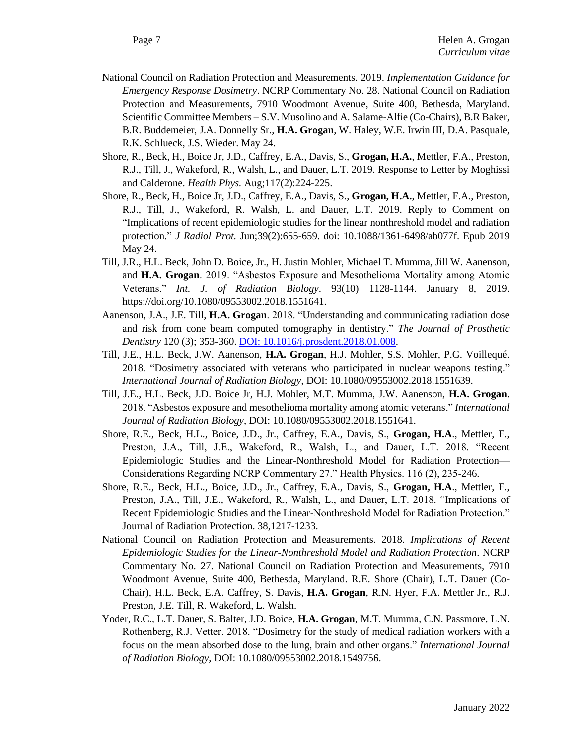- National Council on Radiation Protection and Measurements. 2019. *Implementation Guidance for Emergency Response Dosimetry*. NCRP Commentary No. 28. National Council on Radiation Protection and Measurements, 7910 Woodmont Avenue, Suite 400, Bethesda, Maryland. Scientific Committee Members – S.V. Musolino and A. Salame-Alfie (Co-Chairs), B.R Baker, B.R. Buddemeier, J.A. Donnelly Sr., **H.A. Grogan**, W. Haley, W.E. Irwin III, D.A. Pasquale, R.K. Schlueck, J.S. Wieder. May 24.
- Shore, R., Beck, H., Boice Jr, J.D., Caffrey, E.A., Davis, S., **Grogan, H.A.**, Mettler, F.A., Preston, R.J., Till, J., Wakeford, R., Walsh, L., and Dauer, L.T. 2019. Response to Letter by Moghissi and Calderone. *Health Phys.* Aug;117(2):224-225.
- Shore, R., Beck, H., Boice Jr, J.D., Caffrey, E.A., Davis, S., **Grogan, H.A.**, Mettler, F.A., Preston, R.J., Till, J., Wakeford, R. Walsh, L. and Dauer, L.T. 2019. Reply to Comment on "Implications of recent epidemiologic studies for the linear nonthreshold model and radiation protection." *J Radiol Prot.* Jun;39(2):655-659. doi: 10.1088/1361-6498/ab077f. Epub 2019 May 24.
- Till, J.R., H.L. Beck, John D. Boice, Jr., H. Justin Mohler, Michael T. Mumma, Jill W. Aanenson, and **H.A. Grogan**. 2019. "Asbestos Exposure and Mesothelioma Mortality among Atomic Veterans." *Int. J. of Radiation Biology*. 93(10) 1128-1144. January 8, 2019. https://doi.org/10.1080/09553002.2018.1551641.
- Aanenson, J.A., J.E. Till, **H.A. Grogan**. 2018. "Understanding and communicating radiation dose and risk from cone beam computed tomography in dentistry." *The Journal of Prosthetic Dentistry* 120 (3); 353-360. [DOI: 10.1016/j.prosdent.2018.01.008.](https://doi.org/10.1016/j.prosdent.2018.01.008)
- Till, J.E., H.L. Beck, J.W. Aanenson, **H.A. Grogan**, H.J. Mohler, S.S. Mohler, P.G. Voillequé. 2018. "Dosimetry associated with veterans who participated in nuclear weapons testing." *International Journal of Radiation Biology*, DOI: 10.1080/09553002.2018.1551639.
- Till, J.E., H.L. Beck, J.D. Boice Jr, H.J. Mohler, M.T. Mumma, J.W. Aanenson, **H.A. Grogan**. 2018. "Asbestos exposure and mesothelioma mortality among atomic veterans." *International Journal of Radiation Biology*, DOI: 10.1080/09553002.2018.1551641.
- Shore, R.E., Beck, H.L., Boice, J.D., Jr., Caffrey, E.A., Davis, S., **Grogan, H.A**., Mettler, F., Preston, J.A., Till, J.E., Wakeford, R., Walsh, L., and Dauer, L.T. 2018. "Recent Epidemiologic Studies and the Linear-Nonthreshold Model for Radiation Protection— Considerations Regarding NCRP Commentary 27." Health Physics. 116 (2), 235-246.
- Shore, R.E., Beck, H.L., Boice, J.D., Jr., Caffrey, E.A., Davis, S., **Grogan, H.A**., Mettler, F., Preston, J.A., Till, J.E., Wakeford, R., Walsh, L., and Dauer, L.T. 2018. "Implications of Recent Epidemiologic Studies and the Linear-Nonthreshold Model for Radiation Protection." Journal of Radiation Protection. 38,1217-1233.
- National Council on Radiation Protection and Measurements. 2018. *Implications of Recent Epidemiologic Studies for the Linear-Nonthreshold Model and Radiation Protection*. NCRP Commentary No. 27. National Council on Radiation Protection and Measurements, 7910 Woodmont Avenue, Suite 400, Bethesda, Maryland. R.E. Shore (Chair), L.T. Dauer (Co-Chair), H.L. Beck, E.A. Caffrey, S. Davis, **H.A. Grogan**, R.N. Hyer, F.A. Mettler Jr., R.J. Preston, J.E. Till, R. Wakeford, L. Walsh.
- Yoder, R.C., L.T. Dauer, S. Balter, J.D. Boice, **H.A. Grogan**, M.T. Mumma, C.N. Passmore, L.N. Rothenberg, R.J. Vetter. 2018. "Dosimetry for the study of medical radiation workers with a focus on the mean absorbed dose to the lung, brain and other organs." *International Journal of Radiation Biology*, DOI: 10.1080/09553002.2018.1549756.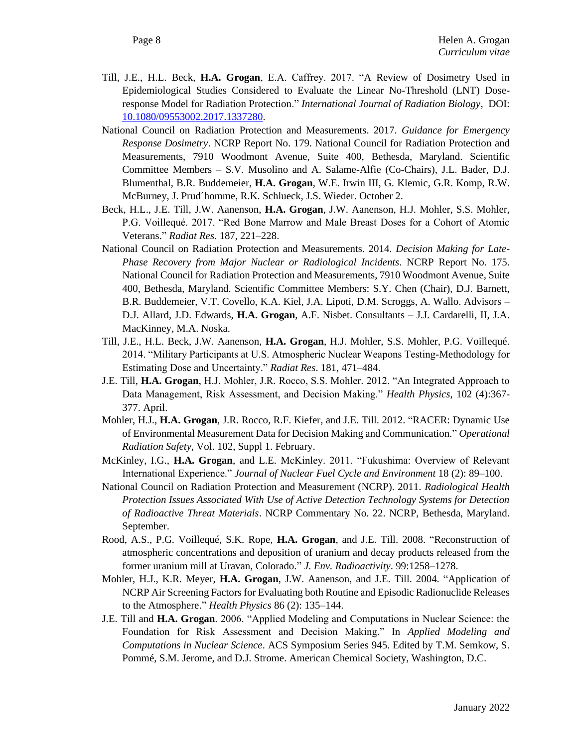- Till, J.E., H.L. Beck, **H.A. Grogan**, E.A. Caffrey. 2017. "A Review of Dosimetry Used in Epidemiological Studies Considered to Evaluate the Linear No-Threshold (LNT) Doseresponse Model for Radiation Protection." *International Journal of Radiation Biology*[, DOI:](http://dx.doi.org/10.1080/09553002.2017.1337280)  [10.1080/09553002.2017.1337280.](http://dx.doi.org/10.1080/09553002.2017.1337280)
- National Council on Radiation Protection and Measurements. 2017. *Guidance for Emergency Response Dosimetry*. NCRP Report No. 179. National Council for Radiation Protection and Measurements, 7910 Woodmont Avenue, Suite 400, Bethesda, Maryland. Scientific Committee Members – S.V. Musolino and A. Salame-Alfie (Co-Chairs), J.L. Bader, D.J. Blumenthal, B.R. Buddemeier, **H.A. Grogan**, W.E. Irwin III, G. Klemic, G.R. Komp, R.W. McBurney, J. Prud´homme, R.K. Schlueck, J.S. Wieder. October 2.
- Beck, H.L., J.E. Till, J.W. Aanenson, **H.A. Grogan**, J.W. Aanenson, H.J. Mohler, S.S. Mohler, P.G. Voillequé. 2017. "Red Bone Marrow and Male Breast Doses for a Cohort of Atomic Veterans." *Radiat Res*. 187, 221–228.
- National Council on Radiation Protection and Measurements. 2014. *Decision Making for Late-Phase Recovery from Major Nuclear or Radiological Incidents*. NCRP Report No. 175. National Council for Radiation Protection and Measurements, 7910 Woodmont Avenue, Suite 400, Bethesda, Maryland. Scientific Committee Members: S.Y. Chen (Chair), D.J. Barnett, B.R. Buddemeier, V.T. Covello, K.A. Kiel, J.A. Lipoti, D.M. Scroggs, A. Wallo. Advisors – D.J. Allard, J.D. Edwards, **H.A. Grogan**, A.F. Nisbet. Consultants – J.J. Cardarelli, II, J.A. MacKinney, M.A. Noska.
- Till, J.E., H.L. Beck, J.W. Aanenson, **H.A. Grogan**, H.J. Mohler, S.S. Mohler, P.G. Voillequé. 2014. "Military Participants at U.S. Atmospheric Nuclear Weapons Testing-Methodology for Estimating Dose and Uncertainty." *Radiat Res*. 181, 471–484.
- J.E. Till, **H.A. Grogan**, H.J. Mohler, J.R. Rocco, S.S. Mohler. 2012. "An Integrated Approach to Data Management, Risk Assessment, and Decision Making." *Health Physics*, 102 (4):367- 377. April.
- Mohler, H.J., **H.A. Grogan**, J.R. Rocco, R.F. Kiefer, and J.E. Till. 2012. "RACER: Dynamic Use of Environmental Measurement Data for Decision Making and Communication*.*" *Operational Radiation Safety*, Vol. 102, Suppl 1. February.
- McKinley, I.G., **H.A. Grogan**, and L.E. McKinley. 2011. "Fukushima: Overview of Relevant International Experience." *Journal of Nuclear Fuel Cycle and Environment* 18 (2): 89–100.
- National Council on Radiation Protection and Measurement (NCRP). 2011. *Radiological Health Protection Issues Associated With Use of Active Detection Technology Systems for Detection of Radioactive Threat Materials*. NCRP Commentary No. 22. NCRP, Bethesda, Maryland. September.
- Rood, A.S., P.G. Voillequé, S.K. Rope, **H.A. Grogan**, and J.E. Till. 2008. "Reconstruction of atmospheric concentrations and deposition of uranium and decay products released from the former uranium mill at Uravan, Colorado." *J. Env. Radioactivity*. 99:1258–1278.
- Mohler, H.J., K.R. Meyer, **H.A. Grogan**, J.W. Aanenson, and J.E. Till. 2004. "Application of NCRP Air Screening Factors for Evaluating both Routine and Episodic Radionuclide Releases to the Atmosphere." *Health Physics* 86 (2): 135–144.
- J.E. Till and **H.A. Grogan**. 2006. "Applied Modeling and Computations in Nuclear Science: the Foundation for Risk Assessment and Decision Making." In *Applied Modeling and Computations in Nuclear Science*. ACS Symposium Series 945. Edited by T.M. Semkow, S. Pommé, S.M. Jerome, and D.J. Strome. American Chemical Society, Washington, D.C.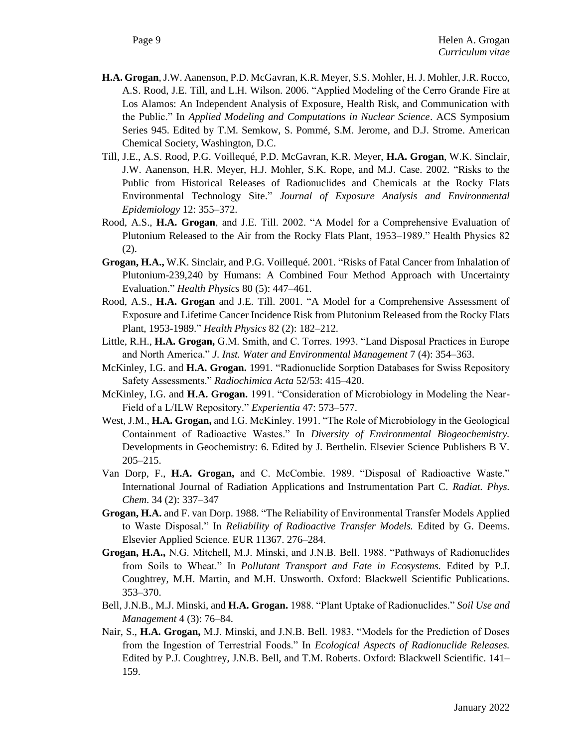- **H.A. Grogan**, J.W. Aanenson, P.D. McGavran, K.R. Meyer, S.S. Mohler, H. J. Mohler, J.R. Rocco, A.S. Rood, J.E. Till, and L.H. Wilson. 2006. "Applied Modeling of the Cerro Grande Fire at Los Alamos: An Independent Analysis of Exposure, Health Risk, and Communication with the Public." In *Applied Modeling and Computations in Nuclear Science*. ACS Symposium Series 945. Edited by T.M. Semkow, S. Pommé, S.M. Jerome, and D.J. Strome. American Chemical Society, Washington, D.C.
- Till, J.E., A.S. Rood, P.G. Voillequé, P.D. McGavran, K.R. Meyer, **H.A. Grogan**, W.K. Sinclair, J.W. Aanenson, H.R. Meyer, H.J. Mohler, S.K. Rope, and M.J. Case. 2002. "Risks to the Public from Historical Releases of Radionuclides and Chemicals at the Rocky Flats Environmental Technology Site." *Journal of Exposure Analysis and Environmental Epidemiology* 12: 355–372.
- Rood, A.S., **H.A. Grogan**, and J.E. Till. 2002. "A Model for a Comprehensive Evaluation of Plutonium Released to the Air from the Rocky Flats Plant, 1953–1989." Health Physics 82 (2).
- **Grogan, H.A.,** W.K. Sinclair, and P.G. Voillequé. 2001. "Risks of Fatal Cancer from Inhalation of Plutonium-239,240 by Humans: A Combined Four Method Approach with Uncertainty Evaluation." *Health Physics* 80 (5): 447–461.
- Rood, A.S., **H.A. Grogan** and J.E. Till. 2001. "A Model for a Comprehensive Assessment of Exposure and Lifetime Cancer Incidence Risk from Plutonium Released from the Rocky Flats Plant, 1953-1989." *Health Physics* 82 (2): 182–212.
- Little, R.H., **H.A. Grogan,** G.M. Smith, and C. Torres. 1993. "Land Disposal Practices in Europe and North America." *J. Inst. Water and Environmental Management* 7 (4): 354–363.
- McKinley, I.G. and **H.A. Grogan.** 1991. "Radionuclide Sorption Databases for Swiss Repository Safety Assessments." *Radiochimica Acta* 52/53: 415–420.
- McKinley, I.G. and **H.A. Grogan.** 1991. "Consideration of Microbiology in Modeling the Near-Field of a L/ILW Repository." *Experientia* 47: 573–577.
- West, J.M., **H.A. Grogan,** and I.G. McKinley. 1991. "The Role of Microbiology in the Geological Containment of Radioactive Wastes." In *Diversity of Environmental Biogeochemistry.* Developments in Geochemistry: 6. Edited by J. Berthelin. Elsevier Science Publishers B V. 205–215.
- Van Dorp, F., **H.A. Grogan,** and C. McCombie. 1989. "Disposal of Radioactive Waste." International Journal of Radiation Applications and Instrumentation Part C. *Radiat. Phys. Chem*. 34 (2): 337–347
- **Grogan, H.A.** and F. van Dorp. 1988. "The Reliability of Environmental Transfer Models Applied to Waste Disposal." In *Reliability of Radioactive Transfer Models.* Edited by G. Deems. Elsevier Applied Science. EUR 11367. 276–284.
- **Grogan, H.A.,** N.G. Mitchell, M.J. Minski, and J.N.B. Bell. 1988. "Pathways of Radionuclides from Soils to Wheat." In *Pollutant Transport and Fate in Ecosystems.* Edited by P.J. Coughtrey, M.H. Martin, and M.H. Unsworth. Oxford: Blackwell Scientific Publications. 353–370.
- Bell, J.N.B., M.J. Minski, and **H.A. Grogan.** 1988. "Plant Uptake of Radionuclides." *Soil Use and Management* 4 (3): 76–84.
- Nair, S., **H.A. Grogan,** M.J. Minski, and J.N.B. Bell. 1983. "Models for the Prediction of Doses from the Ingestion of Terrestrial Foods." In *Ecological Aspects of Radionuclide Releases.*  Edited by P.J. Coughtrey, J.N.B. Bell, and T.M. Roberts. Oxford: Blackwell Scientific. 141– 159.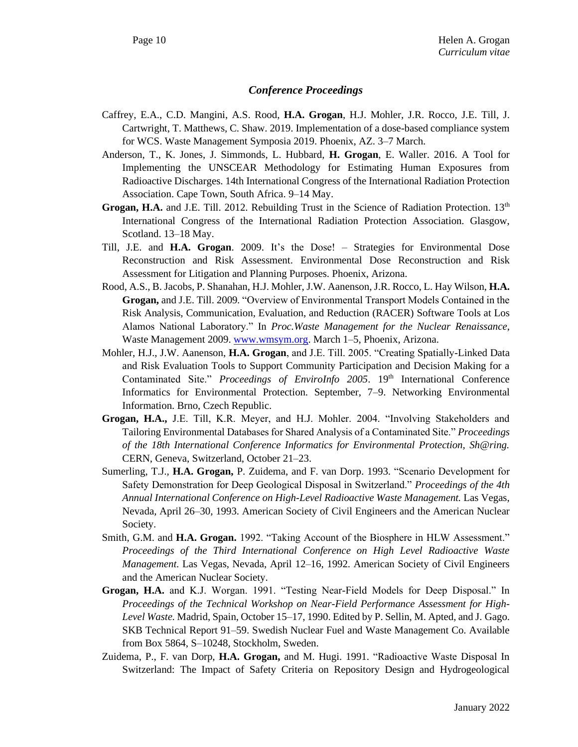### *Conference Proceedings*

- Caffrey, E.A., C.D. Mangini, A.S. Rood, **H.A. Grogan**, H.J. Mohler, J.R. Rocco, J.E. Till, J. Cartwright, T. Matthews, C. Shaw. 2019. Implementation of a dose-based compliance system for WCS. Waste Management Symposia 2019. Phoenix, AZ. 3–7 March.
- Anderson, T., K. Jones, J. Simmonds, L. Hubbard, **H. Grogan**, E. Waller. 2016. A Tool for Implementing the UNSCEAR Methodology for Estimating Human Exposures from Radioactive Discharges. 14th International Congress of the International Radiation Protection Association. Cape Town, South Africa. 9–14 May.
- Grogan, H.A. and J.E. Till. 2012. Rebuilding Trust in the Science of Radiation Protection. 13<sup>th</sup> International Congress of the International Radiation Protection Association. Glasgow, Scotland. 13–18 May.
- Till, J.E. and **H.A. Grogan**. 2009. It's the Dose! Strategies for Environmental Dose Reconstruction and Risk Assessment. Environmental Dose Reconstruction and Risk Assessment for Litigation and Planning Purposes. Phoenix, Arizona.
- Rood, A.S., B. Jacobs, P. Shanahan, H.J. Mohler, J.W. Aanenson, J.R. Rocco, L. Hay Wilson, **H.A. Grogan,** and J.E. Till. 2009. "Overview of Environmental Transport Models Contained in the Risk Analysis, Communication, Evaluation, and Reduction (RACER) Software Tools at Los Alamos National Laboratory." In *Proc.Waste Management for the Nuclear Renaissance*, Waste Management 2009. [www.wmsym.org.](http://www.wmsym.org/) March 1–5, Phoenix, Arizona.
- Mohler, H.J., J.W. Aanenson, **H.A. Grogan**, and J.E. Till. 2005. "Creating Spatially-Linked Data and Risk Evaluation Tools to Support Community Participation and Decision Making for a Contaminated Site." *Proceedings of EnviroInfo 2005*. 19th International Conference Informatics for Environmental Protection. September, 7–9. Networking Environmental Information. Brno, Czech Republic.
- **Grogan, H.A.,** J.E. Till, K.R. Meyer, and H.J. Mohler. 2004. "Involving Stakeholders and Tailoring Environmental Databases for Shared Analysis of a Contaminated Site." *Proceedings of the 18th International Conference Informatics for Environmental Protection, Sh@ring.* CERN, Geneva, Switzerland, October 21–23.
- Sumerling, T.J., **H.A. Grogan,** P. Zuidema, and F. van Dorp. 1993. "Scenario Development for Safety Demonstration for Deep Geological Disposal in Switzerland." *Proceedings of the 4th Annual International Conference on High-Level Radioactive Waste Management.* Las Vegas, Nevada, April 26–30, 1993. American Society of Civil Engineers and the American Nuclear Society.
- Smith, G.M. and **H.A. Grogan.** 1992. "Taking Account of the Biosphere in HLW Assessment." *Proceedings of the Third International Conference on High Level Radioactive Waste Management.* Las Vegas, Nevada, April 12–16, 1992. American Society of Civil Engineers and the American Nuclear Society.
- **Grogan, H.A.** and K.J. Worgan. 1991. "Testing Near-Field Models for Deep Disposal." In *Proceedings of the Technical Workshop on Near-Field Performance Assessment for High-Level Waste.* Madrid, Spain, October 15–17, 1990. Edited by P. Sellin, M. Apted, and J. Gago. SKB Technical Report 91–59. Swedish Nuclear Fuel and Waste Management Co. Available from Box 5864, S-10248, Stockholm, Sweden.
- Zuidema, P., F. van Dorp, **H.A. Grogan,** and M. Hugi. 1991. "Radioactive Waste Disposal In Switzerland: The Impact of Safety Criteria on Repository Design and Hydrogeological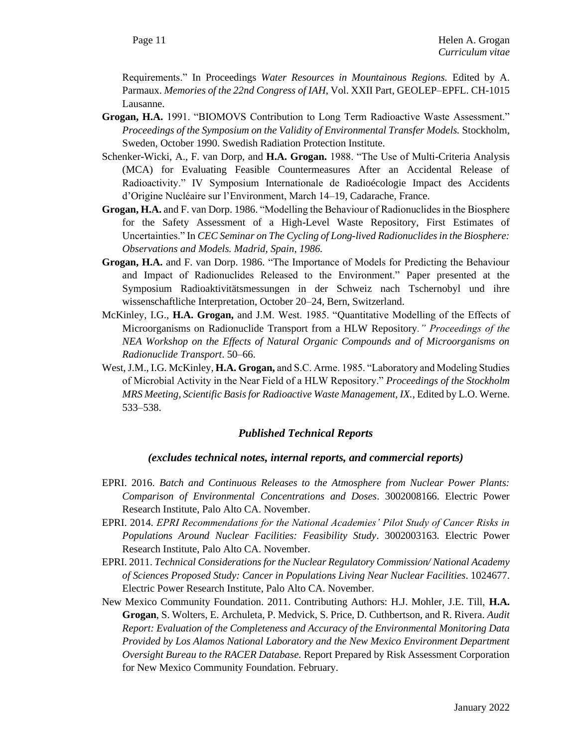Requirements." In Proceedings *Water Resources in Mountainous Regions.* Edited by A. Parmaux. *Memories of the 22nd Congress of IAH*, Vol. XXII Part, GEOLEP–EPFL. CH-1015 Lausanne.

- **Grogan, H.A.** 1991. "BIOMOVS Contribution to Long Term Radioactive Waste Assessment." *Proceedings of the Symposium on the Validity of Environmental Transfer Models.* Stockholm, Sweden, October 1990. Swedish Radiation Protection Institute.
- Schenker-Wicki, A., F. van Dorp, and **H.A. Grogan.** 1988. "The Use of Multi-Criteria Analysis (MCA) for Evaluating Feasible Countermeasures After an Accidental Release of Radioactivity." IV Symposium Internationale de Radioécologie Impact des Accidents d'Origine Nucléaire sur l'Environment, March 14–19, Cadarache, France.
- **Grogan, H.A.** and F. van Dorp. 1986. "Modelling the Behaviour of Radionuclides in the Biosphere for the Safety Assessment of a High-Level Waste Repository, First Estimates of Uncertainties." In *CEC Seminar on The Cycling of Long-lived Radionuclides in the Biosphere: Observations and Models. Madrid, Spain, 1986.*
- **Grogan, H.A.** and F. van Dorp. 1986. "The Importance of Models for Predicting the Behaviour and Impact of Radionuclides Released to the Environment." Paper presented at the Symposium Radioaktivitätsmessungen in der Schweiz nach Tschernobyl und ihre wissenschaftliche Interpretation, October 20–24, Bern, Switzerland.
- McKinley, I.G., **H.A. Grogan,** and J.M. West. 1985. "Quantitative Modelling of the Effects of Microorganisms on Radionuclide Transport from a HLW Repository*." Proceedings of the NEA Workshop on the Effects of Natural Organic Compounds and of Microorganisms on Radionuclide Transport*. 50–66.
- West, J.M., I.G. McKinley, **H.A. Grogan,** and S.C. Arme. 1985. "Laboratory and Modeling Studies of Microbial Activity in the Near Field of a HLW Repository." *Proceedings of the Stockholm MRS Meeting, Scientific Basis for Radioactive Waste Management, IX.*, Edited by L.O. Werne. 533–538.

### *Published Technical Reports*

### *(excludes technical notes, internal reports, and commercial reports)*

- EPRI. 2016. *Batch and Continuous Releases to the Atmosphere from Nuclear Power Plants: Comparison of Environmental Concentrations and Doses*. 3002008166. Electric Power Research Institute, Palo Alto CA. November.
- EPRI. 2014. *EPRI Recommendations for the National Academies' Pilot Study of Cancer Risks in Populations Around Nuclear Facilities: Feasibility Study*. 3002003163. Electric Power Research Institute, Palo Alto CA. November.
- EPRI. 2011. *Technical Considerations for the Nuclear Regulatory Commission/ National Academy of Sciences Proposed Study: Cancer in Populations Living Near Nuclear Facilities*. 1024677. Electric Power Research Institute, Palo Alto CA. November.
- New Mexico Community Foundation. 2011. Contributing Authors: H.J. Mohler, J.E. Till, **H.A. Grogan**, S. Wolters, E. Archuleta, P. Medvick, S. Price, D. Cuthbertson, and R. Rivera. *Audit Report: Evaluation of the Completeness and Accuracy of the Environmental Monitoring Data Provided by Los Alamos National Laboratory and the New Mexico Environment Department Oversight Bureau to the RACER Database.* Report Prepared by Risk Assessment Corporation for New Mexico Community Foundation. February.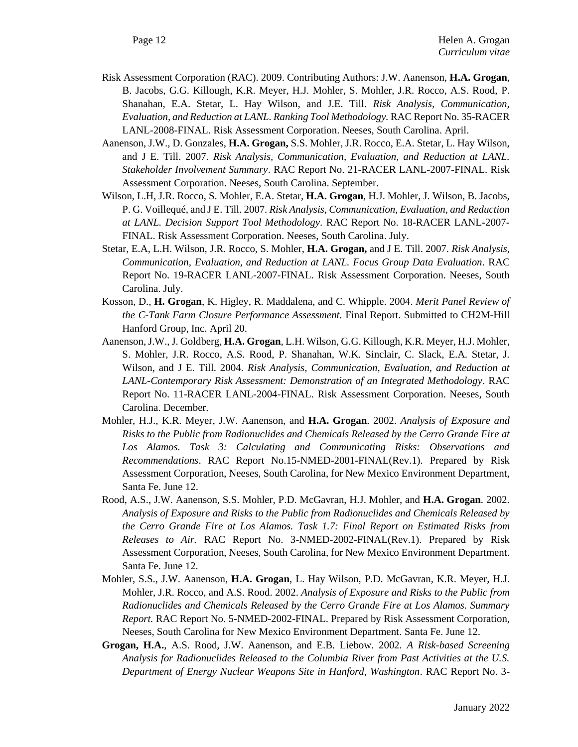- Risk Assessment Corporation (RAC). 2009. Contributing Authors: J.W. Aanenson, **H.A. Grogan**, B. Jacobs, G.G. Killough, K.R. Meyer, H.J. Mohler, S. Mohler, J.R. Rocco, A.S. Rood, P. Shanahan, E.A. Stetar, L. Hay Wilson, and J.E. Till. *Risk Analysis, Communication, Evaluation, and Reduction at LANL. Ranking Tool Methodology.* RAC Report No. 35-RACER LANL-2008-FINAL. Risk Assessment Corporation. Neeses, South Carolina. April.
- Aanenson, J.W., D. Gonzales, **H.A. Grogan,** S.S. Mohler, J.R. Rocco, E.A. Stetar, L. Hay Wilson, and J E. Till. 2007. *Risk Analysis, Communication, Evaluation, and Reduction at LANL. Stakeholder Involvement Summary*. RAC Report No. 21-RACER LANL-2007-FINAL. Risk Assessment Corporation. Neeses, South Carolina. September.
- Wilson, L.H, J.R. Rocco, S. Mohler, E.A. Stetar, **H.A. Grogan**, H.J. Mohler, J. Wilson, B. Jacobs, P. G. Voillequé, and J E. Till. 2007. *Risk Analysis, Communication, Evaluation, and Reduction at LANL. Decision Support Tool Methodology*. RAC Report No. 18-RACER LANL-2007- FINAL. Risk Assessment Corporation. Neeses, South Carolina. July.
- Stetar, E.A, L.H. Wilson, J.R. Rocco, S. Mohler, **H.A. Grogan,** and J E. Till. 2007. *Risk Analysis, Communication, Evaluation, and Reduction at LANL. Focus Group Data Evaluation*. RAC Report No. 19-RACER LANL-2007-FINAL. Risk Assessment Corporation. Neeses, South Carolina. July.
- Kosson, D., **H. Grogan**, K. Higley, R. Maddalena, and C. Whipple. 2004. *Merit Panel Review of the C-Tank Farm Closure Performance Assessment.* Final Report. Submitted to CH2M-Hill Hanford Group, Inc. April 20.
- Aanenson, J.W., J. Goldberg, **H.A. Grogan**, L.H. Wilson, G.G. Killough, K.R. Meyer, H.J. Mohler, S. Mohler, J.R. Rocco, A.S. Rood, P. Shanahan, W.K. Sinclair, C. Slack, E.A. Stetar, J. Wilson, and J E. Till. 2004. *Risk Analysis, Communication, Evaluation, and Reduction at LANL-Contemporary Risk Assessment: Demonstration of an Integrated Methodology*. RAC Report No. 11-RACER LANL-2004-FINAL. Risk Assessment Corporation. Neeses, South Carolina. December.
- Mohler, H.J., K.R. Meyer, J.W. Aanenson, and **H.A. Grogan**. 2002. *Analysis of Exposure and Risks to the Public from Radionuclides and Chemicals Released by the Cerro Grande Fire at Los Alamos. Task 3: Calculating and Communicating Risks: Observations and Recommendations*. RAC Report No.15-NMED-2001-FINAL(Rev.1). Prepared by Risk Assessment Corporation, Neeses, South Carolina, for New Mexico Environment Department, Santa Fe. June 12.
- Rood, A.S., J.W. Aanenson, S.S. Mohler, P.D. McGavran, H.J. Mohler, and **H.A. Grogan**. 2002. *Analysis of Exposure and Risks to the Public from Radionuclides and Chemicals Released by the Cerro Grande Fire at Los Alamos. Task 1.7: Final Report on Estimated Risks from Releases to Air.* RAC Report No. 3-NMED-2002-FINAL(Rev.1). Prepared by Risk Assessment Corporation, Neeses, South Carolina, for New Mexico Environment Department. Santa Fe. June 12.
- Mohler, S.S., J.W. Aanenson, **H.A. Grogan**, L. Hay Wilson, P.D. McGavran, K.R. Meyer, H.J. Mohler, J.R. Rocco, and A.S. Rood. 2002. *Analysis of Exposure and Risks to the Public from Radionuclides and Chemicals Released by the Cerro Grande Fire at Los Alamos. Summary Report.* RAC Report No. 5-NMED-2002-FINAL. Prepared by Risk Assessment Corporation, Neeses, South Carolina for New Mexico Environment Department. Santa Fe. June 12.
- **Grogan, H.A.**, A.S. Rood, J.W. Aanenson, and E.B. Liebow. 2002. *A Risk-based Screening Analysis for Radionuclides Released to the Columbia River from Past Activities at the U.S. Department of Energy Nuclear Weapons Site in Hanford, Washington*. RAC Report No. 3-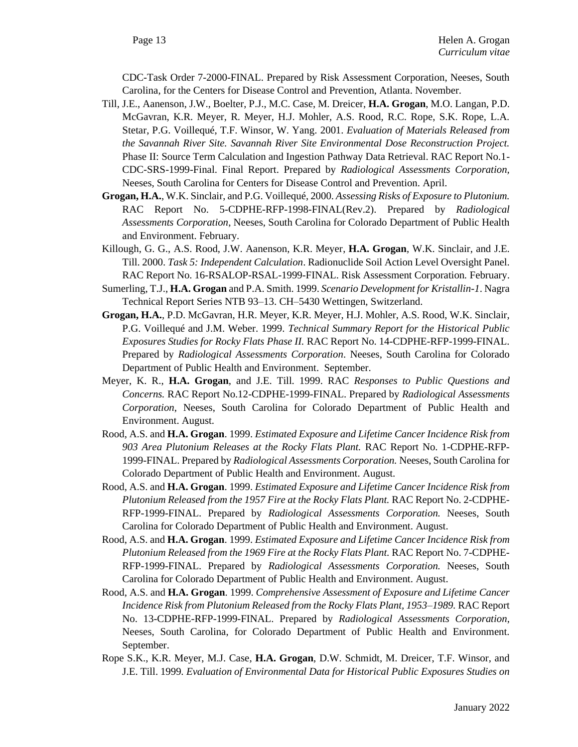CDC-Task Order 7-2000-FINAL. Prepared by Risk Assessment Corporation, Neeses, South Carolina, for the Centers for Disease Control and Prevention, Atlanta. November.

- Till, J.E., Aanenson, J.W., Boelter, P.J., M.C. Case, M. Dreicer, **H.A. Grogan**, M.O. Langan, P.D. McGavran, K.R. Meyer, R. Meyer, H.J. Mohler, A.S. Rood, R.C. Rope, S.K. Rope, L.A. Stetar, P.G. Voillequé, T.F. Winsor, W. Yang. 2001. *Evaluation of Materials Released from the Savannah River Site. Savannah River Site Environmental Dose Reconstruction Project.* Phase II: Source Term Calculation and Ingestion Pathway Data Retrieval. RAC Report No.1- CDC-SRS-1999-Final. Final Report. Prepared by *Radiological Assessments Corporation,* Neeses, South Carolina for Centers for Disease Control and Prevention. April.
- **Grogan, H.A.**, W.K. Sinclair, and P.G. Voillequé, 2000. *Assessing Risks of Exposure to Plutonium.*  RAC Report No. 5-CDPHE-RFP-1998-FINAL(Rev.2). Prepared by *Radiological Assessments Corporation*, Neeses, South Carolina for Colorado Department of Public Health and Environment. February.
- Killough, G. G., A.S. Rood, J.W. Aanenson, K.R. Meyer, **H.A. Grogan**, W.K. Sinclair, and J.E. Till. 2000. *Task 5: Independent Calculation*. Radionuclide Soil Action Level Oversight Panel. RAC Report No. 16-RSALOP-RSAL-1999-FINAL. Risk Assessment Corporation*.* February.
- Sumerling, T.J., **H.A. Grogan** and P.A. Smith. 1999. *Scenario Development for Kristallin-1*. Nagra Technical Report Series NTB 93–13. CH–5430 Wettingen, Switzerland.
- **Grogan, H.A.**, P.D. McGavran, H.R. Meyer, K.R. Meyer, H.J. Mohler, A.S. Rood, W.K. Sinclair, P.G. Voillequé and J.M. Weber. 1999. *Technical Summary Report for the Historical Public Exposures Studies for Rocky Flats Phase II.* RAC Report No. 14-CDPHE-RFP-1999-FINAL. Prepared by *Radiological Assessments Corporation*. Neeses, South Carolina for Colorado Department of Public Health and Environment. September.
- Meyer, K. R., **H.A. Grogan**, and J.E. Till. 1999. RAC *Responses to Public Questions and Concerns.* RAC Report No.12-CDPHE-1999-FINAL. Prepared by *Radiological Assessments Corporation*, Neeses, South Carolina for Colorado Department of Public Health and Environment. August.
- Rood, A.S. and **H.A. Grogan**. 1999. *Estimated Exposure and Lifetime Cancer Incidence Risk from 903 Area Plutonium Releases at the Rocky Flats Plant.* RAC Report No. 1-CDPHE-RFP-1999-FINAL. Prepared by *Radiological Assessments Corporation.* Neeses, South Carolina for Colorado Department of Public Health and Environment. August.
- Rood, A.S. and **H.A. Grogan**. 1999. *Estimated Exposure and Lifetime Cancer Incidence Risk from Plutonium Released from the 1957 Fire at the Rocky Flats Plant.* RAC Report No. 2-CDPHE-RFP-1999-FINAL. Prepared by *Radiological Assessments Corporation.* Neeses, South Carolina for Colorado Department of Public Health and Environment. August.
- Rood, A.S. and **H.A. Grogan**. 1999. *Estimated Exposure and Lifetime Cancer Incidence Risk from Plutonium Released from the 1969 Fire at the Rocky Flats Plant.* RAC Report No. 7-CDPHE-RFP-1999-FINAL. Prepared by *Radiological Assessments Corporation.* Neeses, South Carolina for Colorado Department of Public Health and Environment. August.
- Rood, A.S. and **H.A. Grogan**. 1999. *Comprehensive Assessment of Exposure and Lifetime Cancer Incidence Risk from Plutonium Released from the Rocky Flats Plant, 1953–1989.* RAC Report No. 13-CDPHE-RFP-1999-FINAL. Prepared by *Radiological Assessments Corporation*, Neeses, South Carolina, for Colorado Department of Public Health and Environment. September.
- Rope S.K., K.R. Meyer, M.J. Case, **H.A. Grogan**, D.W. Schmidt, M. Dreicer, T.F. Winsor, and J.E. Till. 1999*. Evaluation of Environmental Data for Historical Public Exposures Studies on*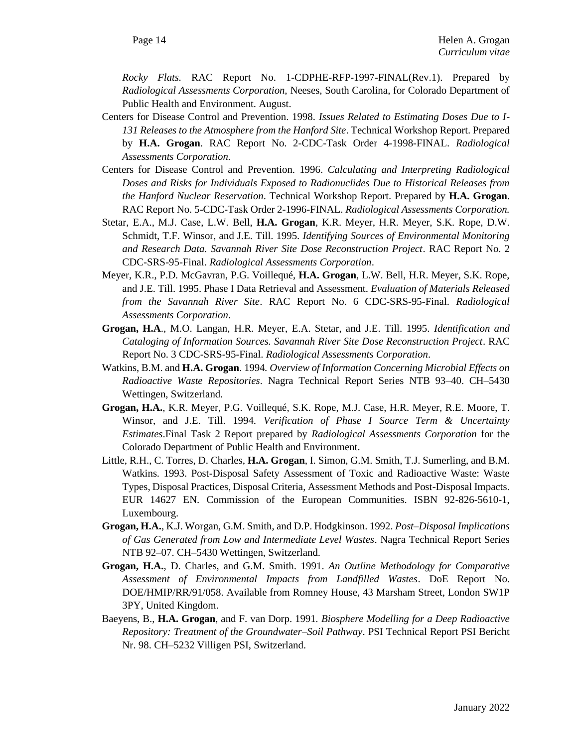*Rocky Flats.* RAC Report No. 1-CDPHE-RFP-1997-FINAL(Rev.1). Prepared by *Radiological Assessments Corporation,* Neeses, South Carolina, for Colorado Department of Public Health and Environment. August.

- Centers for Disease Control and Prevention. 1998. *Issues Related to Estimating Doses Due to I-131 Releases to the Atmosphere from the Hanford Site*. Technical Workshop Report. Prepared by **H.A. Grogan**. RAC Report No. 2-CDC-Task Order 4-1998-FINAL. *Radiological Assessments Corporation.*
- Centers for Disease Control and Prevention. 1996. *Calculating and Interpreting Radiological Doses and Risks for Individuals Exposed to Radionuclides Due to Historical Releases from the Hanford Nuclear Reservation*. Technical Workshop Report. Prepared by **H.A. Grogan**. RAC Report No. 5-CDC-Task Order 2-1996-FINAL. *Radiological Assessments Corporation.*
- Stetar, E.A., M.J. Case, L.W. Bell, **H.A. Grogan**, K.R. Meyer, H.R. Meyer, S.K. Rope, D.W. Schmidt, T.F. Winsor, and J.E. Till. 1995. *Identifying Sources of Environmental Monitoring and Research Data. Savannah River Site Dose Reconstruction Project*. RAC Report No. 2 CDC-SRS-95-Final. *Radiological Assessments Corporation*.
- Meyer, K.R., P.D. McGavran, P.G. Voillequé, **H.A. Grogan**, L.W. Bell, H.R. Meyer, S.K. Rope, and J.E. Till. 1995. Phase I Data Retrieval and Assessment. *Evaluation of Materials Released from the Savannah River Site*. RAC Report No. 6 CDC-SRS-95-Final. *Radiological Assessments Corporation*.
- **Grogan, H.A**., M.O. Langan, H.R. Meyer, E.A. Stetar, and J.E. Till. 1995. *Identification and Cataloging of Information Sources. Savannah River Site Dose Reconstruction Project*. RAC Report No. 3 CDC-SRS-95-Final. *Radiological Assessments Corporation*.
- Watkins, B.M. and **H.A. Grogan**. 1994*. Overview of Information Concerning Microbial Effects on Radioactive Waste Repositories*. Nagra Technical Report Series NTB 93–40. CH–5430 Wettingen, Switzerland.
- **Grogan, H.A.**, K.R. Meyer, P.G. Voillequé, S.K. Rope, M.J. Case, H.R. Meyer, R.E. Moore, T. Winsor, and J.E. Till. 1994. *Verification of Phase I Source Term & Uncertainty Estimates*.Final Task 2 Report prepared by *Radiological Assessments Corporation* for the Colorado Department of Public Health and Environment.
- Little, R.H., C. Torres, D. Charles, **H.A. Grogan**, I. Simon, G.M. Smith, T.J. Sumerling, and B.M. Watkins. 1993. Post-Disposal Safety Assessment of Toxic and Radioactive Waste: Waste Types, Disposal Practices, Disposal Criteria, Assessment Methods and Post-Disposal Impacts. EUR 14627 EN. Commission of the European Communities. ISBN 92-826-5610-1, Luxembourg.
- **Grogan, H.A.**, K.J. Worgan, G.M. Smith, and D.P. Hodgkinson. 1992. *Post–Disposal Implications of Gas Generated from Low and Intermediate Level Wastes*. Nagra Technical Report Series NTB 92–07. CH–5430 Wettingen, Switzerland.
- **Grogan, H.A.**, D. Charles, and G.M. Smith. 1991. *An Outline Methodology for Comparative Assessment of Environmental Impacts from Landfilled Wastes*. DoE Report No. DOE/HMIP/RR/91/058. Available from Romney House, 43 Marsham Street, London SW1P 3PY, United Kingdom.
- Baeyens, B., **H.A. Grogan**, and F. van Dorp. 1991*. Biosphere Modelling for a Deep Radioactive Repository: Treatment of the Groundwater–Soil Pathway*. PSI Technical Report PSI Bericht Nr. 98. CH–5232 Villigen PSI, Switzerland.